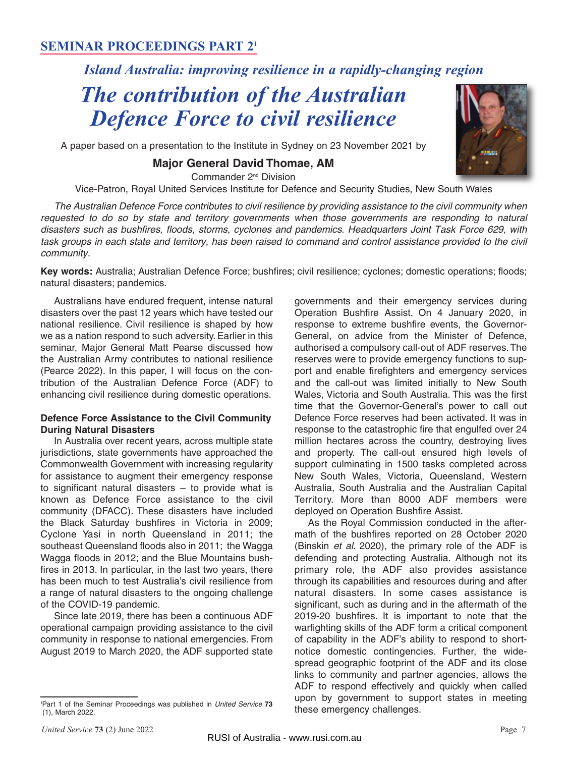# **SEMINAR PROCEEDINGS PART 21**

# *Island Australia: improving resilience in a rapidly-changing region*

# *The contribution of the Australian Defence Force to civil resilience*

A paper based on a presentation to the Institute in Sydney on 23 November 2021 by

# **Major General David Thomae, AM**

Commander 2<sup>nd</sup> Division

Vice-Patron, Royal United Services Institute for Defence and Security Studies, New South Wales

The Australian Defence Force contributes to civil resilience by providing assistance to the civil community when requested to do so by state and territory governments when those governments are responding to natural disasters such as bushfires, floods, storms, cyclones and pandemics. Headquarters Joint Task Force 629, with task groups in each state and territory, has been raised to command and control assistance provided to the civil community.

**Key words:** Australia; Australian Defence Force; bushfires; civil resilience; cyclones; domestic operations; floods; natural disasters; pandemics.

Australians have endured frequent, intense natural disasters over the past 12 years which have tested our national resilience. Civil resilience is shaped by how we as a nation respond to such adversity. Earlier in this seminar, Major General Matt Pearse discussed how the Australian Army contributes to national resilience (Pearce 2022). In this paper, I will focus on the contribution of the Australian Defence Force (ADF) to enhancing civil resilience during domestic operations.

#### **Defence Force Assistance to the Civil Community During Natural Disasters**

In Australia over recent years, across multiple state jurisdictions, state governments have approached the Commonwealth Government with increasing regularity for assistance to augment their emergency response to significant natural disasters – to provide what is known as Defence Force assistance to the civil community (DFACC). These disasters have included the Black Saturday bushfires in Victoria in 2009; Cyclone Yasi in north Queensland in 2011; the southeast Queensland floods also in 2011; the Wagga Wagga floods in 2012; and the Blue Mountains bushfires in 2013. In particular, in the last two years, there has been much to test Australia's civil resilience from a range of natural disasters to the ongoing challenge of the COVID-19 pandemic.

Since late 2019, there has been a continuous ADF operational campaign providing assistance to the civil community in response to national emergencies. From August 2019 to March 2020, the ADF supported state

governments and their emergency services during Operation Bushfire Assist. On 4 January 2020, in response to extreme bushfire events, the Governor-General, on advice from the Minister of Defence, authorised a compulsory call-out of ADF reserves. The reserves were to provide emergency functions to support and enable firefighters and emergency services and the call-out was limited initially to New South Wales, Victoria and South Australia. This was the first time that the Governor-General's power to call out Defence Force reserves had been activated. It was in response to the catastrophic fire that engulfed over 24 million hectares across the country, destroying lives and property. The call-out ensured high levels of support culminating in 1500 tasks completed across New South Wales, Victoria, Queensland, Western Australia, South Australia and the Australian Capital Territory. More than 8000 ADF members were deployed on Operation Bushfire Assist.

As the Royal Commission conducted in the aftermath of the bushfires reported on 28 October 2020 (Binskin et al. 2020), the primary role of the ADF is defending and protecting Australia. Although not its primary role, the ADF also provides assistance through its capabilities and resources during and after natural disasters. In some cases assistance is significant, such as during and in the aftermath of the 2019-20 bushfires. It is important to note that the warfighting skills of the ADF form a critical component of capability in the ADF's ability to respond to shortnotice domestic contingencies. Further, the widespread geographic footprint of the ADF and its close links to community and partner agencies, allows the ADF to respond effectively and quickly when called upon by government to support states in meeting these emergency challenges.



<sup>1</sup> Part 1 of the Seminar Proceedings was published in United Service **73** (1), March 2022.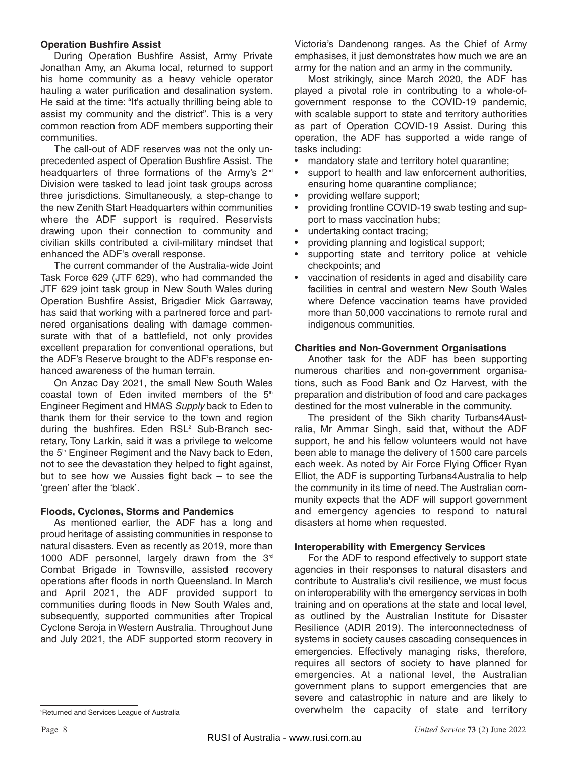#### **Operation Bushfire Assist**

During Operation Bushfire Assist, Army Private Jonathan Amy, an Akuma local, returned to support his home community as a heavy vehicle operator hauling a water purification and desalination system. He said at the time: "It's actually thrilling being able to assist my community and the district". This is a very common reaction from ADF members supporting their communities.

The call-out of ADF reserves was not the only unprecedented aspect of Operation Bushfire Assist. The headquarters of three formations of the Army's 2<sup>nd</sup> Division were tasked to lead joint task groups across three jurisdictions. Simultaneously, a step-change to the new Zenith Start Headquarters within communities where the ADF support is required. Reservists drawing upon their connection to community and civilian skills contributed a civil-military mindset that enhanced the ADF's overall response.

The current commander of the Australia-wide Joint Task Force 629 (JTF 629), who had commanded the JTF 629 joint task group in New South Wales during Operation Bushfire Assist, Brigadier Mick Garraway, has said that working with a partnered force and partnered organisations dealing with damage commensurate with that of a battlefield, not only provides excellent preparation for conventional operations, but the ADF's Reserve brought to the ADF's response en hanced awareness of the human terrain.

On Anzac Day 2021, the small New South Wales coastal town of Eden invited members of the  $5<sup>th</sup>$ Engineer Regiment and HMAS Supply back to Eden to thank them for their service to the town and region during the bushfires. Eden RSL<sup>2</sup> Sub-Branch secretary, Tony Larkin, said it was a privilege to welcome the 5<sup>th</sup> Engineer Regiment and the Navy back to Eden, not to see the devastation they helped to fight against, but to see how we Aussies fight back – to see the 'green' after the 'black'.

#### **Floods, Cyclones, Storms and Pandemics**

As mentioned earlier, the ADF has a long and proud heritage of assisting communities in response to natural disasters. Even as recently as 2019, more than 1000 ADF personnel, largely drawn from the 3<sup>rd</sup> Combat Brigade in Townsville, assisted recovery operations after floods in north Queensland. In March and April 2021, the ADF provided support to communities during floods in New South Wales and, subsequently, supported communities after Tropical Cyclone Seroja in Western Australia. Throughout June and July 2021, the ADF supported storm recovery in Victoria's Dandenong ranges. As the Chief of Army emphasises, it just demonstrates how much we are an army for the nation and an army in the community.

Most strikingly, since March 2020, the ADF has played a pivotal role in contributing to a whole-ofgovernment response to the COVID-19 pandemic, with scalable support to state and territory authorities as part of Operation COVID-19 Assist. During this operation, the ADF has supported a wide range of tasks including:

- mandatory state and territory hotel quarantine;
- support to health and law enforcement authorities, ensuring home quarantine compliance:
- providing welfare support;
- providing frontline COVID-19 swab testing and support to mass vaccination hubs;
- undertaking contact tracing;
- providing planning and logistical support;
- supporting state and territory police at vehicle checkpoints; and
- vaccination of residents in aged and disability care facilities in central and western New South Wales where Defence vaccination teams have provided more than 50,000 vaccinations to remote rural and indigenous communities.

#### **Charities and Non-Government Organisations**

Another task for the ADF has been supporting numerous charities and non-government organisations, such as Food Bank and Oz Harvest, with the preparation and distribution of food and care packages destined for the most vulnerable in the community.

The president of the Sikh charity Turbans4Australia, Mr Ammar Singh, said that, without the ADF support, he and his fellow volunteers would not have been able to manage the delivery of 1500 care parcels each week. As noted by Air Force Flying Officer Ryan Elliot, the ADF is supporting Turbans4Australia to help the community in its time of need. The Australian community expects that the ADF will support government and emergency agencies to respond to natural disasters at home when requested.

#### **Interoperability with Emergency Services**

For the ADF to respond effectively to support state agencies in their responses to natural disasters and contribute to Australia's civil resilience, we must focus on interoperability with the emergency services in both training and on operations at the state and local level, as outlined by the Australian Institute for Disaster Resilience (ADIR 2019). The interconnectedness of systems in society causes cascading consequences in emergencies. Effectively managing risks, therefore, requires all sectors of society to have planned for emergencies. At a national level, the Australian government plans to support emergencies that are severe and catastrophic in nature and are likely to overwhelm the capacity of state and territory

<sup>&</sup>lt;sup>2</sup>Returned and Services League of Australia